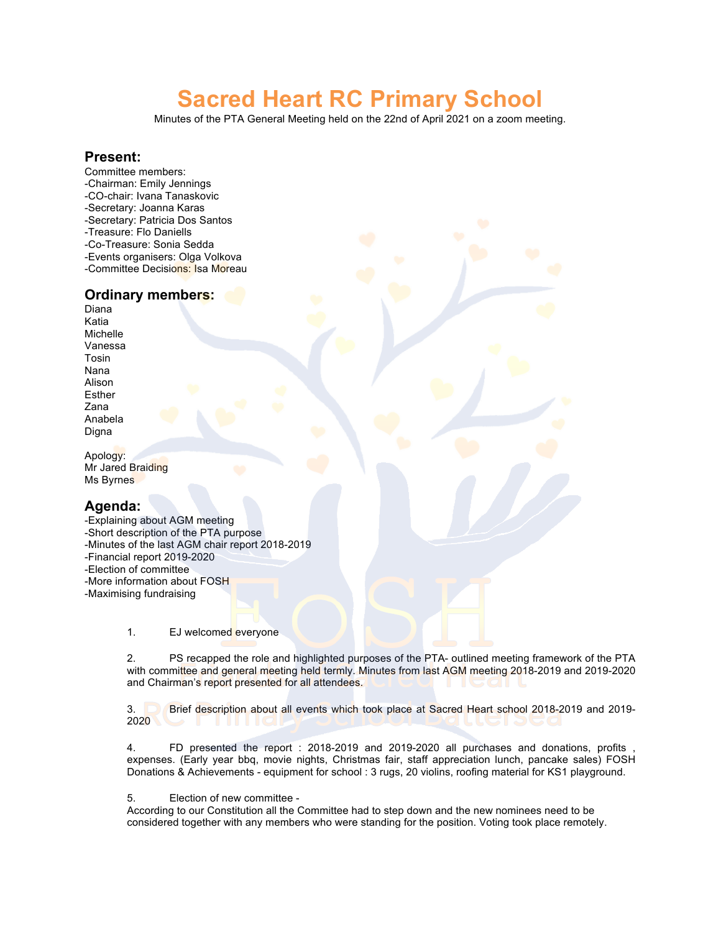# **Sacred Heart RC Primary School**

Minutes of the PTA General Meeting held on the 22nd of April 2021 on a zoom meeting.

#### **Present:**

Committee members: -Chairman: Emily Jennings -CO-chair: Ivana Tanaskovic -Secretary: Joanna Karas -Secretary: Patricia Dos Santos -Treasure: Flo Daniells -Co-Treasure: Sonia Sedda -Events organisers: Olga Volkova -Committee Decisions: Isa Moreau

#### **Ordinary members:**

Diana Katia Michelle Vanessa Tosin Nana Alison Esther Zana Anabela Digna

Apology: Mr Jared Braiding Ms Byrnes

### **Agenda:**

-Explaining about AGM meeting -Short description of the PTA purpose -Minutes of the last AGM chair report 2018-2019 -Financial report 2019-2020 -Election of committee -More information about FOSH -Maximising fundraising

1. EJ welcomed everyone

2. PS recapped the role and highlighted purposes of the PTA- outlined meeting framework of the PTA with committee and general meeting held termly. Minutes from last AGM meeting 2018-2019 and 2019-2020 and Chairman's report presented for all attendees.

3. Brief description about all events which took place at Sacred Heart school 2018-2019 and 2019- 2020

4. FD presented the report : 2018-2019 and 2019-2020 all purchases and donations, profits , expenses. (Early year bbq, movie nights, Christmas fair, staff appreciation lunch, pancake sales) FOSH Donations & Achievements - equipment for school : 3 rugs, 20 violins, roofing material for KS1 playground.

5. Election of new committee -

According to our Constitution all the Committee had to step down and the new nominees need to be considered together with any members who were standing for the position. Voting took place remotely.